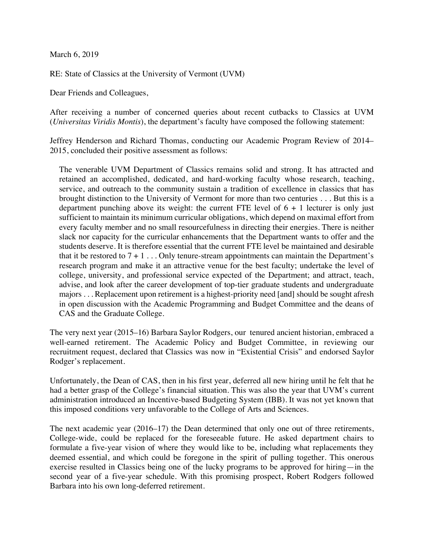March 6, 2019

RE: State of Classics at the University of Vermont (UVM)

Dear Friends and Colleagues,

After receiving a number of concerned queries about recent cutbacks to Classics at UVM (*Universitas Viridis Montis*), the department's faculty have composed the following statement:

Jeffrey Henderson and Richard Thomas, conducting our Academic Program Review of 2014– 2015, concluded their positive assessment as follows:

The venerable UVM Department of Classics remains solid and strong. It has attracted and retained an accomplished, dedicated, and hard-working faculty whose research, teaching, service, and outreach to the community sustain a tradition of excellence in classics that has brought distinction to the University of Vermont for more than two centuries . . . But this is a department punching above its weight: the current FTE level of  $6 + 1$  lecturer is only just sufficient to maintain its minimum curricular obligations, which depend on maximal effort from every faculty member and no small resourcefulness in directing their energies. There is neither slack nor capacity for the curricular enhancements that the Department wants to offer and the students deserve. It is therefore essential that the current FTE level be maintained and desirable that it be restored to  $7 + 1$ ... Only tenure-stream appointments can maintain the Department's research program and make it an attractive venue for the best faculty; undertake the level of college, university, and professional service expected of the Department; and attract, teach, advise, and look after the career development of top-tier graduate students and undergraduate majors . . . Replacement upon retirement is a highest-priority need [and] should be sought afresh in open discussion with the Academic Programming and Budget Committee and the deans of CAS and the Graduate College.

The very next year (2015–16) Barbara Saylor Rodgers, our tenured ancient historian, embraced a well-earned retirement. The Academic Policy and Budget Committee, in reviewing our recruitment request, declared that Classics was now in "Existential Crisis" and endorsed Saylor Rodger's replacement.

Unfortunately, the Dean of CAS, then in his first year, deferred all new hiring until he felt that he had a better grasp of the College's financial situation. This was also the year that UVM's current administration introduced an Incentive-based Budgeting System (IBB). It was not yet known that this imposed conditions very unfavorable to the College of Arts and Sciences.

The next academic year (2016–17) the Dean determined that only one out of three retirements, College-wide, could be replaced for the foreseeable future. He asked department chairs to formulate a five-year vision of where they would like to be, including what replacements they deemed essential, and which could be foregone in the spirit of pulling together. This onerous exercise resulted in Classics being one of the lucky programs to be approved for hiring—in the second year of a five-year schedule. With this promising prospect, Robert Rodgers followed Barbara into his own long-deferred retirement.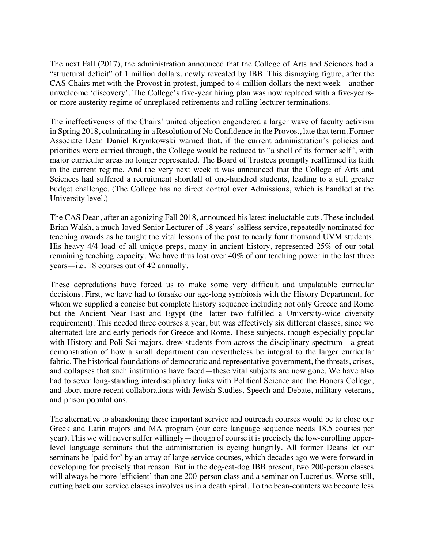The next Fall (2017), the administration announced that the College of Arts and Sciences had a "structural deficit" of 1 million dollars, newly revealed by IBB. This dismaying figure, after the CAS Chairs met with the Provost in protest, jumped to 4 million dollars the next week—another unwelcome 'discovery'. The College's five-year hiring plan was now replaced with a five-yearsor-more austerity regime of unreplaced retirements and rolling lecturer terminations.

The ineffectiveness of the Chairs' united objection engendered a larger wave of faculty activism in Spring 2018, culminating in a Resolution of No Confidence in the Provost, late that term. Former Associate Dean Daniel Krymkowski warned that, if the current administration's policies and priorities were carried through, the College would be reduced to "a shell of its former self", with major curricular areas no longer represented. The Board of Trustees promptly reaffirmed its faith in the current regime. And the very next week it was announced that the College of Arts and Sciences had suffered a recruitment shortfall of one-hundred students, leading to a still greater budget challenge. (The College has no direct control over Admissions, which is handled at the University level.)

The CAS Dean, after an agonizing Fall 2018, announced his latest ineluctable cuts. These included Brian Walsh, a much-loved Senior Lecturer of 18 years' selfless service, repeatedly nominated for teaching awards as he taught the vital lessons of the past to nearly four thousand UVM students. His heavy 4/4 load of all unique preps, many in ancient history, represented 25% of our total remaining teaching capacity. We have thus lost over 40% of our teaching power in the last three years—i.e. 18 courses out of 42 annually.

These depredations have forced us to make some very difficult and unpalatable curricular decisions. First, we have had to forsake our age-long symbiosis with the History Department, for whom we supplied a concise but complete history sequence including not only Greece and Rome but the Ancient Near East and Egypt (the latter two fulfilled a University-wide diversity requirement). This needed three courses a year, but was effectively six different classes, since we alternated late and early periods for Greece and Rome. These subjects, though especially popular with History and Poli-Sci majors, drew students from across the disciplinary spectrum—a great demonstration of how a small department can nevertheless be integral to the larger curricular fabric. The historical foundations of democratic and representative government, the threats, crises, and collapses that such institutions have faced—these vital subjects are now gone. We have also had to sever long-standing interdisciplinary links with Political Science and the Honors College, and abort more recent collaborations with Jewish Studies, Speech and Debate, military veterans, and prison populations.

The alternative to abandoning these important service and outreach courses would be to close our Greek and Latin majors and MA program (our core language sequence needs 18.5 courses per year). This we will never suffer willingly—though of course it is precisely the low-enrolling upperlevel language seminars that the administration is eyeing hungrily. All former Deans let our seminars be 'paid for' by an array of large service courses, which decades ago we were forward in developing for precisely that reason. But in the dog-eat-dog IBB present, two 200-person classes will always be more 'efficient' than one 200-person class and a seminar on Lucretius. Worse still, cutting back our service classes involves us in a death spiral. To the bean-counters we become less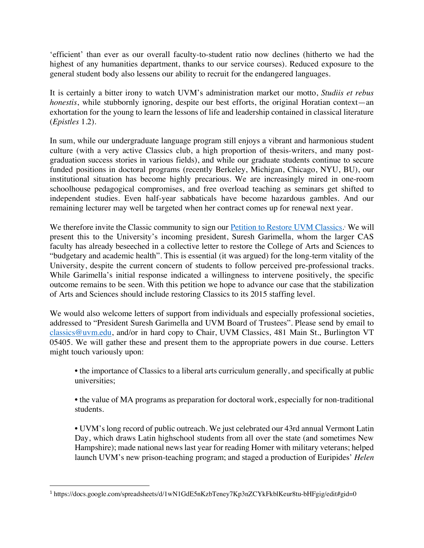'efficient' than ever as our overall faculty-to-student ratio now declines (hitherto we had the highest of any humanities department, thanks to our service courses). Reduced exposure to the general student body also lessens our ability to recruit for the endangered languages.

It is certainly a bitter irony to watch UVM's administration market our motto, *Studiis et rebus honestis*, while stubbornly ignoring, despite our best efforts, the original Horatian context—an exhortation for the young to learn the lessons of life and leadership contained in classical literature (*Epistles* 1.2).

In sum, while our undergraduate language program still enjoys a vibrant and harmonious student culture (with a very active Classics club, a high proportion of thesis-writers, and many postgraduation success stories in various fields), and while our graduate students continue to secure funded positions in doctoral programs (recently Berkeley, Michigan, Chicago, NYU, BU), our institutional situation has become highly precarious. We are increasingly mired in one-room schoolhouse pedagogical compromises, and free overload teaching as seminars get shifted to independent studies. Even half-year sabbaticals have become hazardous gambles. And our remaining lecturer may well be targeted when her contract comes up for renewal next year.

We therefore invite the Classic community to sign our **Petition to Restore UVM Classics**. We will present this to the University's incoming president, Suresh Garimella, whom the larger CAS faculty has already beseeched in a collective letter to restore the College of Arts and Sciences to "budgetary and academic health". This is essential (it was argued) for the long-term vitality of the University, despite the current concern of students to follow perceived pre-professional tracks. While Garimella's initial response indicated a willingness to intervene positively, the specific outcome remains to be seen. With this petition we hope to advance our case that the stabilization of Arts and Sciences should include restoring Classics to its 2015 staffing level.

We would also welcome letters of support from individuals and especially professional societies, addressed to "President Suresh Garimella and UVM Board of Trustees". Please send by email to classics@uvm.edu, and/or in hard copy to Chair, UVM Classics, 481 Main St., Burlington VT 05405. We will gather these and present them to the appropriate powers in due course. Letters might touch variously upon:

• the importance of Classics to a liberal arts curriculum generally, and specifically at public universities;

• the value of MA programs as preparation for doctoral work, especially for non-traditional students.

• UVM's long record of public outreach. We just celebrated our 43rd annual Vermont Latin Day, which draws Latin highschool students from all over the state (and sometimes New Hampshire); made national news last year for reading Homer with military veterans; helped launch UVM's new prison-teaching program; and staged a production of Euripides' *Helen*

 <sup>1</sup> https://docs.google.com/spreadsheets/d/1wN1GdE5nKzbTeney7Kp3nZCYkFkblKeur8tu-bHFgig/edit#gid=0